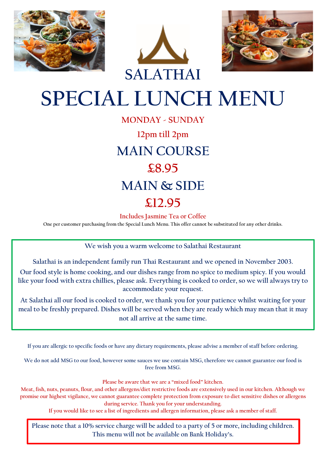





# **SPECIAL LUNCH MENU**

**MONDAY - SUNDAY 12pm till 2pm MAIN COURSE £8.95 MAIN & SIDE £12.95**

**Includes Jasmine Tea or Coffee**

**One per customer purchasing from the Special Lunch Menu. This offer cannot be substituted for any other drinks.**

**We wish you a warm welcome to Salathai Restaurant**

**Salathai is an independent family run Thai Restaurant and we opened in November 2003.**

**Our food style is home cooking, and our dishes range from no spice to medium spicy. If you would like your food with extra chillies, please ask. Everything is cooked to order, so we will always try to accommodate your request.** 

**At Salathai all our food is cooked to order, we thank you for your patience whilst waiting for your meal to be freshly prepared. Dishes will be served when they are ready which may mean that it may not all arrive at the same time.**

**If you are allergic to specific foods or have any dietary requirements, please advise a member of staff before ordering.**

We do not add MSG to our food, however some sauces we use contain MSG, therefore we cannot guarantee our food is **free from MSG.**

**Please be aware that we are a "mixed food" kitchen.**

**Meat, fish, nuts, peanuts, flour, and other allergens/diet restrictive foods are extensively used in our kitchen. Although we promise our highest vigilance, we cannot guarantee complete protection from exposure to diet sensitive dishes or allergens during service. Thank you for your understanding.**

**If you would like to see a list of ingredients and allergen information, please ask a member of staff.**

**Please note that a 10% service charge will be added to a party of 5 or more, including children. This menu will not be available on Bank Holiday's.**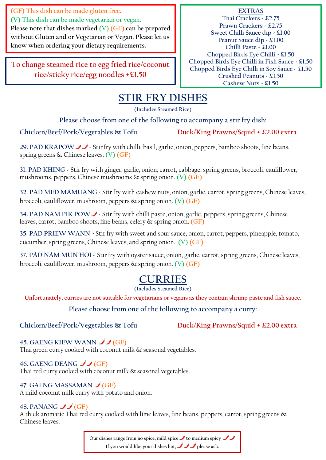**(GF) This dish can be made gluten free. (V) This dish can be made vegetarian or vegan. Please note that dishes marked (V) (GF) can be prepared without Gluten and or Vegetarian or Vegan. Please let us know when ordering your dietary requirements.**

**To change steamed rice to egg fried rice/coconut rice/sticky rice/egg noodles +£1.50** 

**EXTRAS Thai Crackers - £2.75 Prawn Crackers - £2.75 Sweet Chilli Sauce dip - £1.00 Peanut Sauce dip - £1.00 Chilli Paste - £1.00 Chopped Birds Eye Chilli - £1.50 Chopped Birds Eye Chilli in Fish Sauce - £1.50 Chopped Birds Eye Chilli in Soy Sauce - £1.50 Crushed Peanuts - £1.50 Cashew Nuts - £1.50**

### **STIR FRY DISHES**

**(Includes Steamed Rice)** 

**Please choose from one of the following to accompany a stir fry dish:**

Chicken/Beef/Pork/Vegetables & Tofu Duck/King Prawns/Squid + £2.00 extra

29. PAD KRAPOW - Stir fry with chilli, basil, garlic, onion, peppers, bamboo shoots, fine beans, spring greens & Chinese leaves. **(V) (GF)**

**31. PAD KHING** - Stir fry with ginger, garlic, onion, carrot, cabbage, spring greens, broccoli, cauliflower, mushrooms, peppers, Chinese mushrooms & spring onion. **(V) (GF)**

**32. PAD MED MAMUANG** - Stir fry with cashew nuts, onion, garlic, carrot, spring greens, Chinese leaves, broccoli, cauliflower, mushroom, peppers & spring onion. **(V) (GF)**

34. PAD NAM PIK POW  $\blacktriangleright$ -Stir fry with chilli paste, onion, garlic, peppers, spring greens, Chinese leaves, carrot, bamboo shoots, fine beans, celery & spring onion. **(GF)**

**35. PAD PRIEW WANN -** Stir fry with sweet and sour sauce, onion, carrot, peppers, pineapple, tomato, cucumber, spring greens, Chinese leaves, and spring onion. **(V) (GF)**

**37. PAD NAM MUN HOI -** Stir fry with oyster sauce, onion, garlic, carrot, spring greens, Chinese leaves, broccoli, cauliflower, mushroom, peppers & spring onion. **(V) (GF)**

### **CURRIES**

**(Includes Steamed Rice)**

**Unfortunately, curries are not suitable for vegetarians or vegans as they contain shrimp paste and fish sauce.**

**Please choose from one of the following to accompany a curry:**

Chicken/Beef/Pork/Vegetables & Tofu Duck/King Prawns/Squid + £2.00 extra

**45. GAENG KIEW WANN JJ (GF)** 

Thai green curry cooked with coconut milk & seasonal vegetables.

46. GAENG DEANG  $\bigcup$  (GF) Thai red curry cooked with coconut milk & seasonal vegetables.

### 47. GAENG MASSAMAN  $J(GF)$

A mild coconut milk curry with potato and onion.

#### **48. PANANG**  $\bigcup$  (GF)

A thick aromatic Thai red curry cooked with lime leaves, fine beans, peppers, carrot, spring greens & Chinese leaves.

> **Our dishes range from no spice, mild spice to medium spicy If you would like your dishes hot, please ask.**